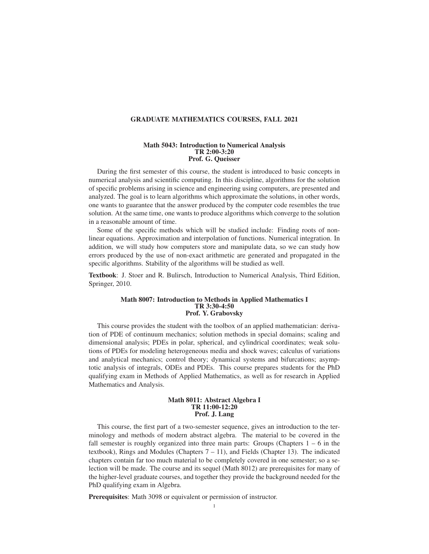# GRADUATE MATHEMATICS COURSES, FALL 2021

#### Math 5043: Introduction to Numerical Analysis TR 2:00-3:20 Prof. G. Queisser

During the first semester of this course, the student is introduced to basic concepts in numerical analysis and scientific computing. In this discipline, algorithms for the solution of specific problems arising in science and engineering using computers, are presented and analyzed. The goal is to learn algorithms which approximate the solutions, in other words, one wants to guarantee that the answer produced by the computer code resembles the true solution. At the same time, one wants to produce algorithms which converge to the solution in a reasonable amount of time.

Some of the specific methods which will be studied include: Finding roots of nonlinear equations. Approximation and interpolation of functions. Numerical integration. In addition, we will study how computers store and manipulate data, so we can study how errors produced by the use of non-exact arithmetic are generated and propagated in the specific algorithms. Stability of the algorithms will be studied as well.

Textbook: J. Stoer and R. Bulirsch, Introduction to Numerical Analysis, Third Edition, Springer, 2010.

## Math 8007: Introduction to Methods in Applied Mathematics I TR 3:30-4:50 Prof. Y. Grabovsky

This course provides the student with the toolbox of an applied mathematician: derivation of PDE of continuum mechanics; solution methods in special domains; scaling and dimensional analysis; PDEs in polar, spherical, and cylindrical coordinates; weak solutions of PDEs for modeling heterogeneous media and shock waves; calculus of variations and analytical mechanics; control theory; dynamical systems and bifurcations; asymptotic analysis of integrals, ODEs and PDEs. This course prepares students for the PhD qualifying exam in Methods of Applied Mathematics, as well as for research in Applied Mathematics and Analysis.

### Math 8011: Abstract Algebra I TR 11:00-12:20 Prof. J. Lang

This course, the first part of a two-semester sequence, gives an introduction to the terminology and methods of modern abstract algebra. The material to be covered in the fall semester is roughly organized into three main parts: Groups (Chapters  $1 - 6$  in the textbook), Rings and Modules (Chapters  $7 - 11$ ), and Fields (Chapter 13). The indicated chapters contain far too much material to be completely covered in one semester; so a selection will be made. The course and its sequel (Math 8012) are prerequisites for many of the higher-level graduate courses, and together they provide the background needed for the PhD qualifying exam in Algebra.

Prerequisites: Math 3098 or equivalent or permission of instructor.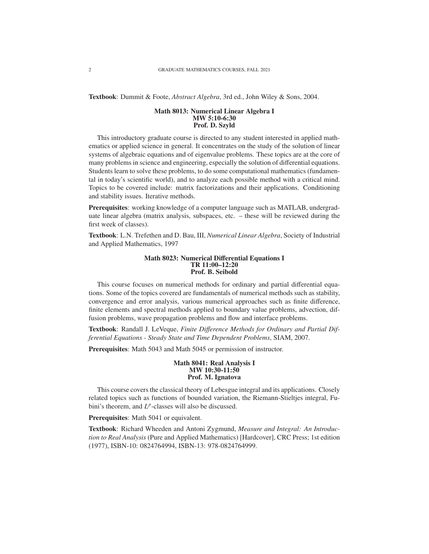Textbook: Dummit & Foote, *Abstract Algebra*, 3rd ed., John Wiley & Sons, 2004.

#### Math 8013: Numerical Linear Algebra I MW 5:10-6:30 Prof. D. Szyld

This introductory graduate course is directed to any student interested in applied mathematics or applied science in general. It concentrates on the study of the solution of linear systems of algebraic equations and of eigenvalue problems. These topics are at the core of many problems in science and engineering, especially the solution of differential equations. Students learn to solve these problems, to do some computational mathematics (fundamental in today's scientific world), and to analyze each possible method with a critical mind. Topics to be covered include: matrix factorizations and their applications. Conditioning and stability issues. Iterative methods.

Prerequisites: working knowledge of a computer language such as MATLAB, undergraduate linear algebra (matrix analysis, subspaces, etc. – these will be reviewed during the first week of classes).

Textbook: L.N. Trefethen and D. Bau, III, *Numerical Linear Algebra*, Society of Industrial and Applied Mathematics, 1997

#### Math 8023: Numerical Differential Equations I TR 11:00–12:20 Prof. B. Seibold

This course focuses on numerical methods for ordinary and partial differential equations. Some of the topics covered are fundamentals of numerical methods such as stability, convergence and error analysis, various numerical approaches such as finite difference, finite elements and spectral methods applied to boundary value problems, advection, diffusion problems, wave propagation problems and flow and interface problems.

Textbook: Randall J. LeVeque, *Finite Di*ff*erence Methods for Ordinary and Partial Differential Equations - Steady State and Time Dependent Problems*, SIAM, 2007.

Prerequisites: Math 5043 and Math 5045 or permission of instructor.

#### Math 8041: Real Analysis I MW 10:30-11:50 Prof. M. Ignatova

This course covers the classical theory of Lebesgue integral and its applications. Closely related topics such as functions of bounded variation, the Riemann-Stieltjes integral, Fubini's theorem, and  $L^p$ -classes will also be discussed.

Prerequisites: Math 5041 or equivalent.

Textbook: Richard Wheeden and Antoni Zygmund, *Measure and Integral: An Introduction to Real Analysis* (Pure and Applied Mathematics) [Hardcover], CRC Press; 1st edition (1977), ISBN-10: 0824764994, ISBN-13: 978-0824764999.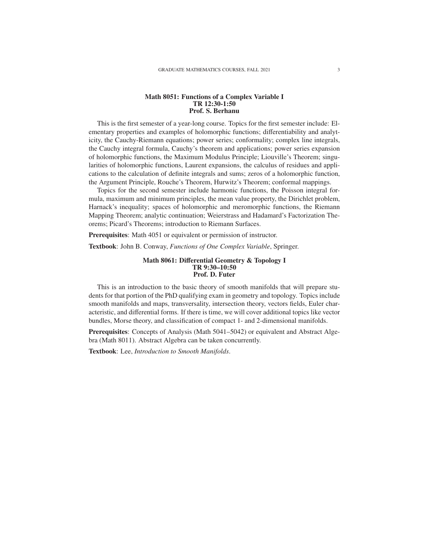#### Math 8051: Functions of a Complex Variable I TR 12:30-1:50 Prof. S. Berhanu

This is the first semester of a year-long course. Topics for the first semester include: Elementary properties and examples of holomorphic functions; differentiability and analyticity, the Cauchy-Riemann equations; power series; conformality; complex line integrals, the Cauchy integral formula, Cauchy's theorem and applications; power series expansion of holomorphic functions, the Maximum Modulus Principle; Liouville's Theorem; singularities of holomorphic functions, Laurent expansions, the calculus of residues and applications to the calculation of definite integrals and sums; zeros of a holomorphic function, the Argument Principle, Rouche's Theorem, Hurwitz's Theorem; conformal mappings.

Topics for the second semester include harmonic functions, the Poisson integral formula, maximum and minimum principles, the mean value property, the Dirichlet problem, Harnack's inequality; spaces of holomorphic and meromorphic functions, the Riemann Mapping Theorem; analytic continuation; Weierstrass and Hadamard's Factorization Theorems; Picard's Theorems; introduction to Riemann Surfaces.

Prerequisites: Math 4051 or equivalent or permission of instructor.

Textbook: John B. Conway, *Functions of One Complex Variable*, Springer.

#### Math 8061: Differential Geometry & Topology I TR 9:30–10:50 Prof. D. Futer

This is an introduction to the basic theory of smooth manifolds that will prepare students for that portion of the PhD qualifying exam in geometry and topology. Topics include smooth manifolds and maps, transversality, intersection theory, vectors fields, Euler characteristic, and differential forms. If there is time, we will cover additional topics like vector bundles, Morse theory, and classification of compact 1- and 2-dimensional manifolds.

Prerequisites: Concepts of Analysis (Math 5041–5042) or equivalent and Abstract Algebra (Math 8011). Abstract Algebra can be taken concurrently.

Textbook: Lee, *Introduction to Smooth Manifolds*.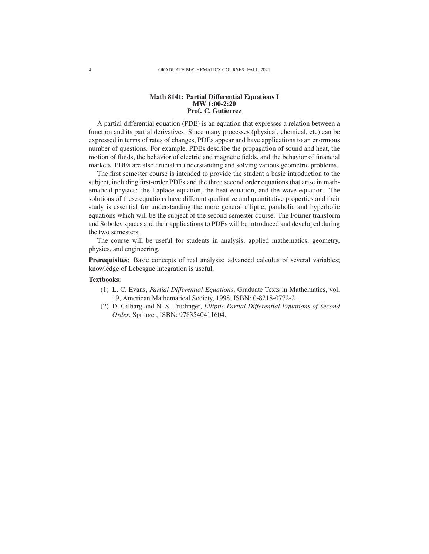## Math 8141: Partial Differential Equations I MW 1:00-2:20 Prof. C. Gutierrez

A partial differential equation (PDE) is an equation that expresses a relation between a function and its partial derivatives. Since many processes (physical, chemical, etc) can be expressed in terms of rates of changes, PDEs appear and have applications to an enormous number of questions. For example, PDEs describe the propagation of sound and heat, the motion of fluids, the behavior of electric and magnetic fields, and the behavior of financial markets. PDEs are also crucial in understanding and solving various geometric problems.

The first semester course is intended to provide the student a basic introduction to the subject, including first-order PDEs and the three second order equations that arise in mathematical physics: the Laplace equation, the heat equation, and the wave equation. The solutions of these equations have different qualitative and quantitative properties and their study is essential for understanding the more general elliptic, parabolic and hyperbolic equations which will be the subject of the second semester course. The Fourier transform and Sobolev spaces and their applications to PDEs will be introduced and developed during the two semesters.

The course will be useful for students in analysis, applied mathematics, geometry, physics, and engineering.

Prerequisites: Basic concepts of real analysis; advanced calculus of several variables; knowledge of Lebesgue integration is useful.

#### Textbooks:

- (1) L. C. Evans, *Partial Di*ff*erential Equations*, Graduate Texts in Mathematics, vol. 19, American Mathematical Society, 1998, ISBN: 0-8218-0772-2.
- (2) D. Gilbarg and N. S. Trudinger, *Elliptic Partial Di*ff*erential Equations of Second Order*, Springer, ISBN: 9783540411604.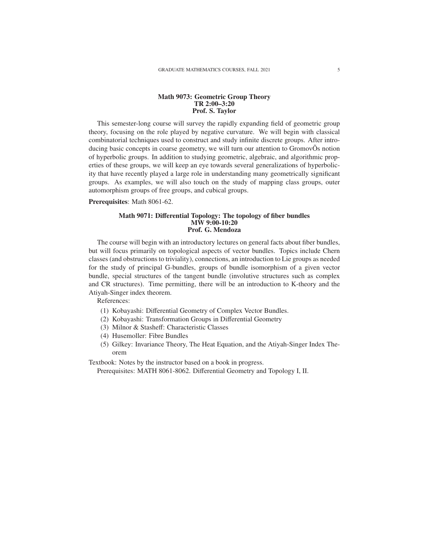## Math 9073: Geometric Group Theory TR 2:00–3:20 Prof. S. Taylor

This semester-long course will survey the rapidly expanding field of geometric group theory, focusing on the role played by negative curvature. We will begin with classical combinatorial techniques used to construct and study infinite discrete groups. After introducing basic concepts in coarse geometry, we will turn our attention to GromovOs notion of hyperbolic groups. In addition to studying geometric, algebraic, and algorithmic properties of these groups, we will keep an eye towards several generalizations of hyperbolicity that have recently played a large role in understanding many geometrically significant groups. As examples, we will also touch on the study of mapping class groups, outer automorphism groups of free groups, and cubical groups.

#### Prerequisites: Math 8061-62.

#### Math 9071: Differential Topology: The topology of fiber bundles MW 9:00-10:20 Prof. G. Mendoza

The course will begin with an introductory lectures on general facts about fiber bundles, but will focus primarily on topological aspects of vector bundles. Topics include Chern classes (and obstructions to triviality), connections, an introduction to Lie groups as needed for the study of principal G-bundles, groups of bundle isomorphism of a given vector bundle, special structures of the tangent bundle (involutive structures such as complex and CR structures). Time permitting, there will be an introduction to K-theory and the Atiyah-Singer index theorem.

References:

- (1) Kobayashi: Differential Geometry of Complex Vector Bundles.
- (2) Kobayashi: Transformation Groups in Differential Geometry
- (3) Milnor & Stasheff: Characteristic Classes
- (4) Husemoller: Fibre Bundles
- (5) Gilkey: Invariance Theory, The Heat Equation, and the Atiyah-Singer Index Theorem

Textbook: Notes by the instructor based on a book in progress.

Prerequisites: MATH 8061-8062. Differential Geometry and Topology I, II.